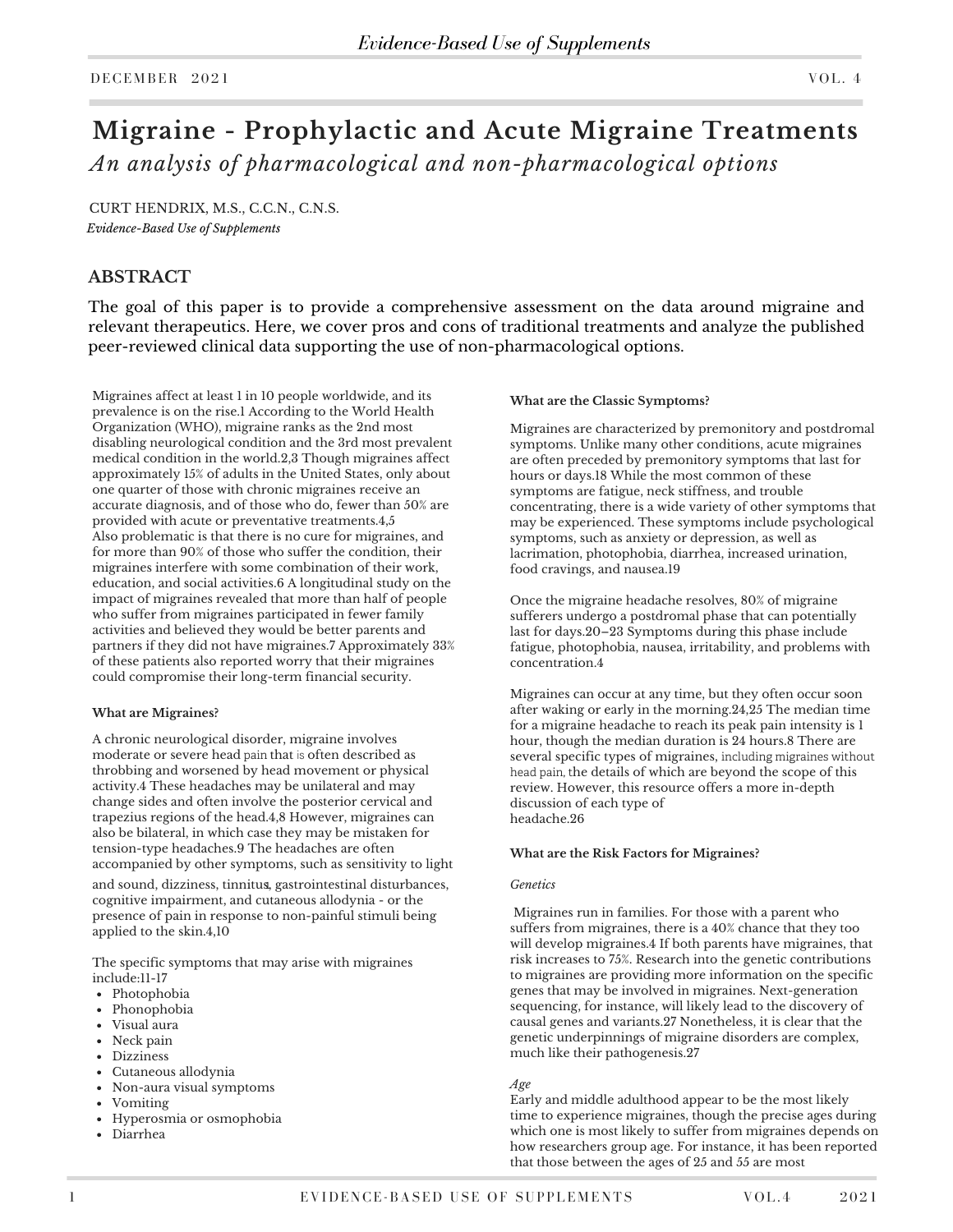# **Migraine - Prophylactic and Acute Migraine Treatments** *An analysis of pharmacological and non-pharmacological options*

CURT HENDRIX, M.S., C.C.N., C.N.S. *Evidence-Based Use of Supplements*

## **ABSTRACT**

The goal of this paper is to provide a comprehensive assessment on the data around migraine and relevant therapeutics. Here, we cover pros and cons of traditional treatments and analyze the published peer-reviewed clinical data supporting the use of non-pharmacological options.

Migraines affect at least 1 in 10 people worldwide, and its prevalence is on the rise.1 According to the World Health Organization (WHO), migraine ranks as the 2nd most disabling neurological condition and the 3rd most prevalent medical condition in the world.2,3 Though migraines affect approximately 15% of adults in the United States, only about one quarter of those with chronic migraines receive an accurate diagnosis, and of those who do, fewer than 50% are provided with acute or preventative treatments.4,5 Also problematic is that there is no cure for migraines, and for more than 90% of those who suffer the condition, their migraines interfere with some combination of their work, education, and social activities.6 A longitudinal study on the impact of migraines revealed that more than half of people who suffer from migraines participated in fewer family activities and believed they would be better parents and partners if they did not have migraines.7 Approximately 33% of these patients also reported worry that their migraines could compromise their long-term financial security.

#### **What are Migraines?**

A chronic neurological disorder, migraine involves moderate or severe head pain that is often described as throbbing and worsened by head movement or physical activity.4 These headaches may be unilateral and may change sides and often involve the posterior cervical and trapezius regions of the head.4,8 However, migraines can also be bilateral, in which case they may be mistaken for tension-type headaches.9 The headaches are often accompanied by other symptoms, such as sensitivity to light

and sound, dizziness, tinnitu**s**, gastrointestinal disturbances, cognitive impairment, and cutaneous allodynia - or the presence of pain in response to non-painful stimuli being applied to the skin.4,10

The specific symptoms that may arise with migraines include:11-17

- Photophobia
- Phonophobia
- Visual aura
- Neck pain
- Dizziness
- Cutaneous allodynia
- Non-aura visual symptoms
- Vomiting
- Hyperosmia or osmophobia
- Diarrhea

#### **What are the Classic Symptoms?**

Migraines are characterized by premonitory and postdromal symptoms. Unlike many other conditions, acute migraines are often preceded by premonitory symptoms that last for hours or days.18 While the most common of these symptoms are fatigue, neck stiffness, and trouble concentrating, there is a wide variety of other symptoms that may be experienced. These symptoms include psychological symptoms, such as anxiety or depression, as well as lacrimation, photophobia, diarrhea, increased urination, food cravings, and nausea.19

Once the migraine headache resolves, 80% of migraine sufferers undergo a postdromal phase that can potentially last for days.20–23 Symptoms during this phase include fatigue, photophobia, nausea, irritability, and problems with concentration.4

Migraines can occur at any time, but they often occur soon after waking or early in the morning.24,25 The median time for a migraine headache to reach its peak pain intensity is 1 hour, though the median duration is 24 hours.8 There are several specific types of migraines, including migraines without head pain, the details of which are beyond the scope of this review. However, [this resource](https://www.practicalpainmanagement.com/pain/headache/migraine/migraine-treatment-what-old-what-new?page-0,3) offers a more in-depth discussion of each type of headache.26

#### **What are the Risk Factors for Migraines?**

#### *Genetics*

 Migraines run in families. For those with a parent who suffers from migraines, there is a 40% chance that they too will develop migraines.4 If both parents have migraines, that risk increases to 75%. Research into the genetic contributions to migraines are providing more information on the specific genes that may be involved in migraines. Next-generation sequencing, for instance, will likely lead to the discovery of causal genes and variants.27 Nonetheless, it is clear that the genetic underpinnings of migraine disorders are complex, much like their pathogenesis.27

#### *Age*

Early and middle adulthood appear to be the most likely time to experience migraines, though the precise ages during which one is most likely to suffer from migraines depends on how researchers group age. For instance, it has been reported that those between the ages of 25 and 55 are most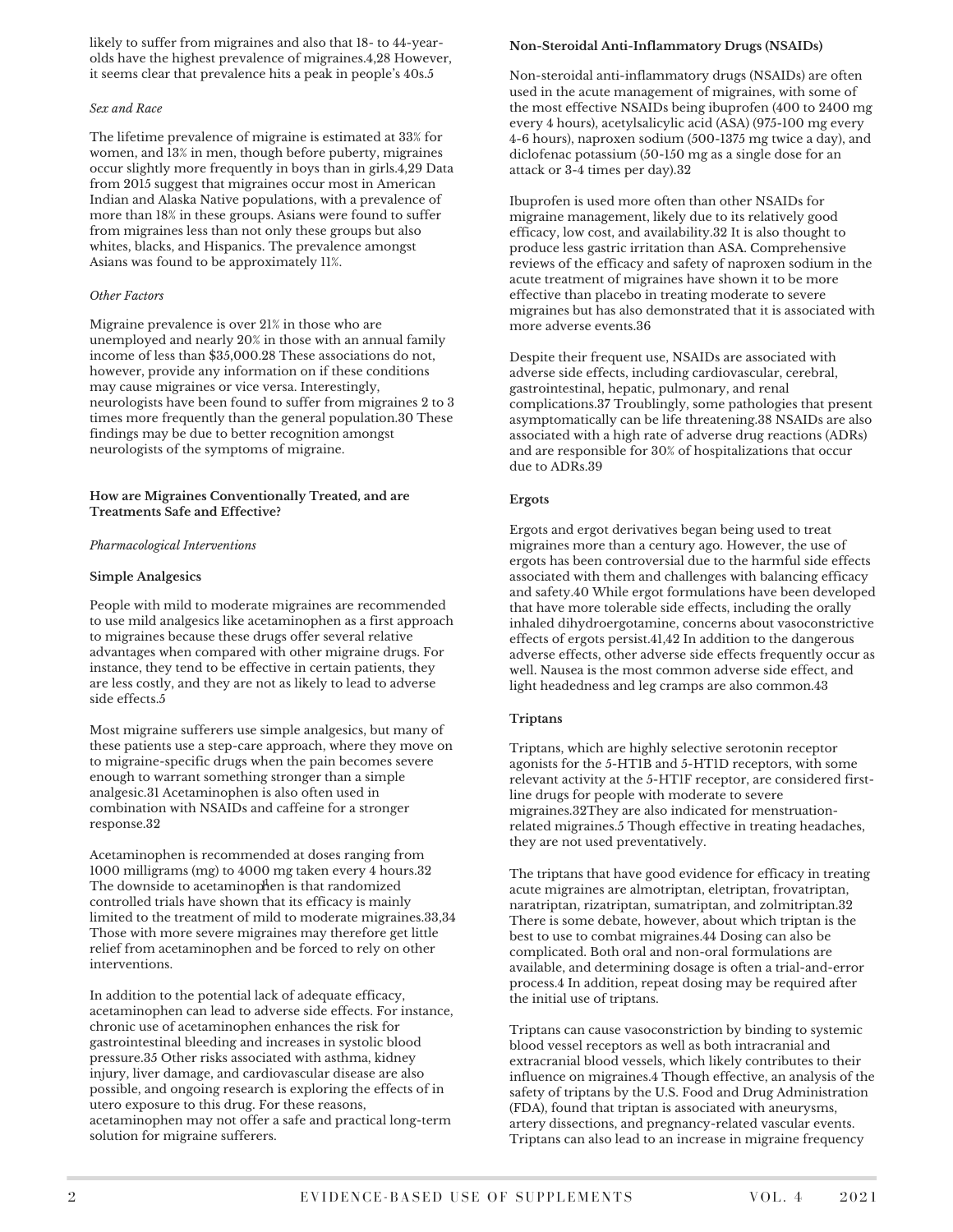likely to suffer from migraines and also that 18- to 44-yearolds have the highest prevalence of migraines.4,28 However, it seems clear that prevalence hits a peak in people's 40s.5

#### *Sex and Race*

The lifetime prevalence of migraine is estimated at 33% for women, and 13% in men, though before puberty, migraines occur slightly more frequently in boys than in girls.4,29 Data from 2015 suggest that migraines occur most in American Indian and Alaska Native populations, with a prevalence of more than 18% in these groups. Asians were found to suffer from migraines less than not only these groups but also whites, blacks, and Hispanics. The prevalence amongst Asians was found to be approximately 11%.

#### *Other Factors*

Migraine prevalence is over 21% in those who are unemployed and nearly 20% in those with an annual family income of less than \$35,000.28 These associations do not, however, provide any information on if these conditions may cause migraines or vice versa. Interestingly, neurologists have been found to suffer from migraines 2 to 3 times more frequently than the general population.30 These findings may be due to better recognition amongst neurologists of the symptoms of migraine.

#### **How are Migraines Conventionally Treated, and are Treatments Safe and Effective?**

#### *Pharmacological Interventions*

#### **Simple Analgesics**

People with mild to moderate migraines are recommended to use mild analgesics like acetaminophen as a first approach to migraines because these drugs offer several relative advantages when compared with other migraine drugs. For instance, they tend to be effective in certain patients, they are less costly, and they are not as likely to lead to adverse side effects.5

Most migraine sufferers use simple analgesics, but many of these patients use a step-care approach, where they move on to migraine-specific drugs when the pain becomes severe enough to warrant something stronger than a simple analgesic.31 Acetaminophen is also often used in combination with NSAIDs and caffeine for a stronger response.32

Acetaminophen is recommended at doses ranging from 1000 milligrams (mg) to 4000 mg taken every 4 hours.32 The downside to acetaminophen is that randomized controlled trials have shown that its efficacy is mainly limited to the treatment of mild to moderate migraines.33,34 Those with more severe migraines may therefore get little relief from acetaminophen and be forced to rely on other interventions.

In addition to the potential lack of adequate efficacy, acetaminophen can lead to adverse side effects. For instance, chronic use of acetaminophen enhances the risk for gastrointestinal bleeding and increases in systolic blood pressure.35 Other risks associated with asthma, kidney injury, liver damage, and cardiovascular disease are also possible, and ongoing research is exploring the effects of in utero exposure to this drug. For these reasons, acetaminophen may not offer a safe and practical long-term solution for migraine sufferers.

#### **Non-Steroidal Anti-Inflammatory Drugs (NSAIDs)**

Non-steroidal anti-inflammatory drugs (NSAIDs) are often used in the acute management of migraines, with some of the most effective NSAIDs being ibuprofen (400 to 2400 mg every 4 hours), acetylsalicylic acid (ASA) (975-100 mg every 4-6 hours), naproxen sodium (500-1375 mg twice a day), and diclofenac potassium (50-150 mg as a single dose for an attack or 3-4 times per day).32

Ibuprofen is used more often than other NSAIDs for migraine management, likely due to its relatively good efficacy, low cost, and availability.32 It is also thought to produce less gastric irritation than ASA. Comprehensive reviews of the efficacy and safety of naproxen sodium in the acute treatment of migraines have shown it to be more effective than placebo in treating moderate to severe migraines but has also demonstrated that it is associated with more adverse events.36

Despite their frequent use, NSAIDs are associated with adverse side effects, including cardiovascular, cerebral, gastrointestinal, hepatic, pulmonary, and renal complications.37 Troublingly, some pathologies that present asymptomatically can be life threatening.38 NSAIDs are also associated with a high rate of adverse drug reactions (ADRs) and are responsible for 30% of hospitalizations that occur due to ADRs.39

### **Ergots**

Ergots and ergot derivatives began being used to treat migraines more than a century ago. However, the use of ergots has been controversial due to the harmful side effects associated with them and challenges with balancing efficacy and safety.40 While ergot formulations have been developed that have more tolerable side effects, including the orally inhaled dihydroergotamine, concerns about vasoconstrictive effects of ergots persist.41,42 In addition to the dangerous adverse effects, other adverse side effects frequently occur as well. Nausea is the most common adverse side effect, and light headedness and leg cramps are also common.43

#### **Triptans**

Triptans, which are highly selective serotonin receptor agonists for the 5-HT1B and 5-HT1D receptors, with some relevant activity at the 5-HT1F receptor, are considered firstline drugs for people with moderate to severe migraines.32They are also indicated for menstruationrelated migraines.5 Though effective in treating headaches, they are not used preventatively.

The triptans that have good evidence for efficacy in treating acute migraines are almotriptan, eletriptan, frovatriptan, naratriptan, rizatriptan, sumatriptan, and zolmitriptan.32 There is some debate, however, about which triptan is the best to use to combat migraines.44 Dosing can also be complicated. Both oral and non-oral formulations are available, and determining dosage is often a trial-and-error process.4 In addition, repeat dosing may be required after the initial use of triptans.

Triptans can cause vasoconstriction by binding to systemic blood vessel receptors as well as both intracranial and extracranial blood vessels, which likely contributes to their influence on migraines.4 Though effective, an analysis of the safety of triptans by the U.S. Food and Drug Administration (FDA), found that triptan is associated with aneurysms, artery dissections, and pregnancy-related vascular events. Triptans can also lead to an increase in migraine frequency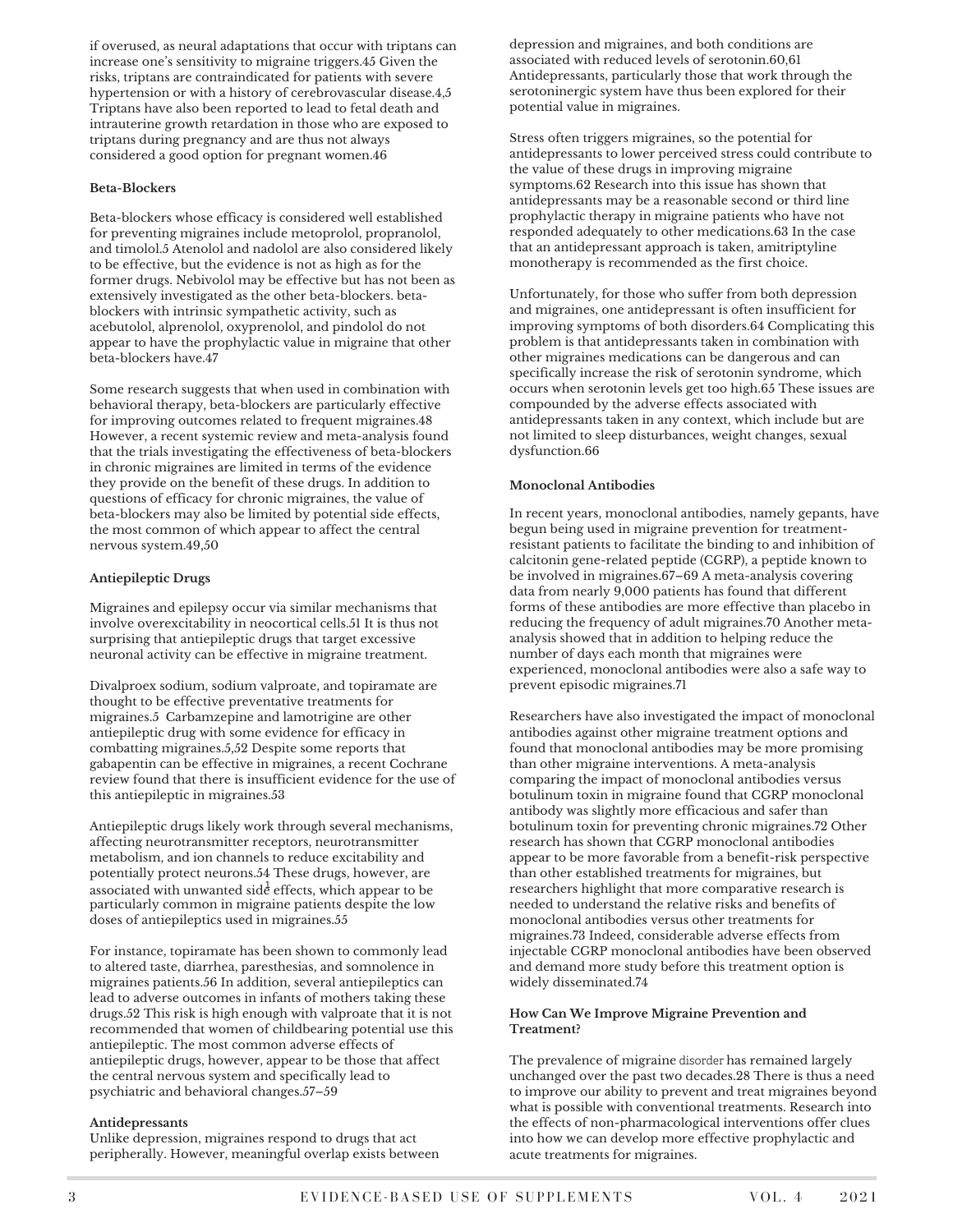if overused, as neural adaptations that occur with triptans can increase one's sensitivity to migraine triggers.45 Given the risks, triptans are contraindicated for patients with severe hypertension or with a history of cerebrovascular disease.4,5 Triptans have also been reported to lead to fetal death and intrauterine growth retardation in those who are exposed to triptans during pregnancy and are thus not always considered a good option for pregnant women.46

#### **Beta-Blockers**

Beta-blockers whose efficacy is considered well established for preventing migraines include metoprolol, propranolol, and timolol.5 Atenolol and nadolol are also considered likely to be effective, but the evidence is not as high as for the former drugs. Nebivolol may be effective but has not been as extensively investigated as the other beta-blockers. betablockers with intrinsic sympathetic activity, such as acebutolol, alprenolol, oxyprenolol, and pindolol do not appear to have the prophylactic value in migraine that other beta-blockers have.47

Some research suggests that when used in combination with behavioral therapy, beta-blockers are particularly effective for improving outcomes related to frequent migraines.48 However, a recent systemic review and meta-analysis found that the trials investigating the effectiveness of beta-blockers in chronic migraines are limited in terms of the evidence they provide on the benefit of these drugs. In addition to questions of efficacy for chronic migraines, the value of beta-blockers may also be limited by potential side effects, the most common of which appear to affect the central nervous system.49,50

#### **Antiepileptic Drugs**

Migraines and epilepsy occur via similar mechanisms that involve overexcitability in neocortical cells.51 It is thus not surprising that antiepileptic drugs that target excessive neuronal activity can be effective in migraine treatment.

Divalproex sodium, sodium valproate, and topiramate are thought to be effective preventative treatments for migraines.5 Carbamzepine and lamotrigine are other antiepileptic drug with some evidence for efficacy in combatting migraines.5,52 Despite some reports that gabapentin can be effective in migraines, a recent Cochrane review found that there is insufficient evidence for the use of this antiepileptic in migraines.53

Antiepileptic drugs likely work through several mechanisms, affecting neurotransmitter receptors, neurotransmitter metabolism, and ion channels to reduce excitability and potentially protect neurons.54 These drugs, however, are associated with unwanted sid $\dot{\vec{e}}$  effects, which appear to be particularly common in migraine patients despite the low doses of antiepileptics used in migraines.55

For instance, topiramate has been shown to commonly lead to altered taste, diarrhea, paresthesias, and somnolence in migraines patients.56 In addition, several antiepileptics can lead to adverse outcomes in infants of mothers taking these drugs.52 This risk is high enough with valproate that it is not recommended that women of childbearing potential use this antiepileptic. The most common adverse effects of antiepileptic drugs, however, appear to be those that affect the central nervous system and specifically lead to psychiatric and behavioral changes.57–59

#### **Antidepressants**

Unlike depression, migraines respond to drugs that act peripherally. However, meaningful overlap exists between

depression and migraines, and both conditions are associated with reduced levels of serotonin.60,61 Antidepressants, particularly those that work through the serotoninergic system have thus been explored for their potential value in migraines.

Stress often triggers migraines, so the potential for antidepressants to lower perceived stress could contribute to the value of these drugs in improving migraine symptoms.62 Research into this issue has shown that antidepressants may be a reasonable second or third line prophylactic therapy in migraine patients who have not responded adequately to other medications.63 In the case that an antidepressant approach is taken, amitriptyline monotherapy is recommended as the first choice.

Unfortunately, for those who suffer from both depression and migraines, one antidepressant is often insufficient for improving symptoms of both disorders.64 Complicating this problem is that antidepressants taken in combination with other migraines medications can be dangerous and can specifically increase the risk of serotonin syndrome, which occurs when serotonin levels get too high.65 These issues are compounded by the adverse effects associated with antidepressants taken in any context, which include but are not limited to sleep disturbances, weight changes, sexual dysfunction.66

#### **Monoclonal Antibodies**

In recent years, monoclonal antibodies, namely gepants, have begun being used in migraine prevention for treatmentresistant patients to facilitate the binding to and inhibition of calcitonin gene-related peptide (CGRP), a peptide known to be involved in migraines.67–69 A meta-analysis covering data from nearly 9,000 patients has found that different forms of these antibodies are more effective than placebo in reducing the frequency of adult migraines.70 Another metaanalysis showed that in addition to helping reduce the number of days each month that migraines were experienced, monoclonal antibodies were also a safe way to prevent episodic migraines.71

Researchers have also investigated the impact of monoclonal antibodies against other migraine treatment options and found that monoclonal antibodies may be more promising than other migraine interventions. A meta-analysis comparing the impact of monoclonal antibodies versus botulinum toxin in migraine found that CGRP monoclonal antibody was slightly more efficacious and safer than botulinum toxin for preventing chronic migraines.72 Other research has shown that CGRP monoclonal antibodies appear to be more favorable from a benefit-risk perspective than other established treatments for migraines, but researchers highlight that more comparative research is needed to understand the relative risks and benefits of monoclonal antibodies versus other treatments for migraines.73 Indeed, considerable adverse effects from injectable CGRP monoclonal antibodies have been observed and demand more study before this treatment option is widely disseminated.74

#### **How Can We Improve Migraine Prevention and Treatment?**

The prevalence of migraine disorder has remained largely unchanged over the past two decades.28 There is thus a need to improve our ability to prevent and treat migraines beyond what is possible with conventional treatments. Research into the effects of non-pharmacological interventions offer clues into how we can develop more effective prophylactic and acute treatments for migraines.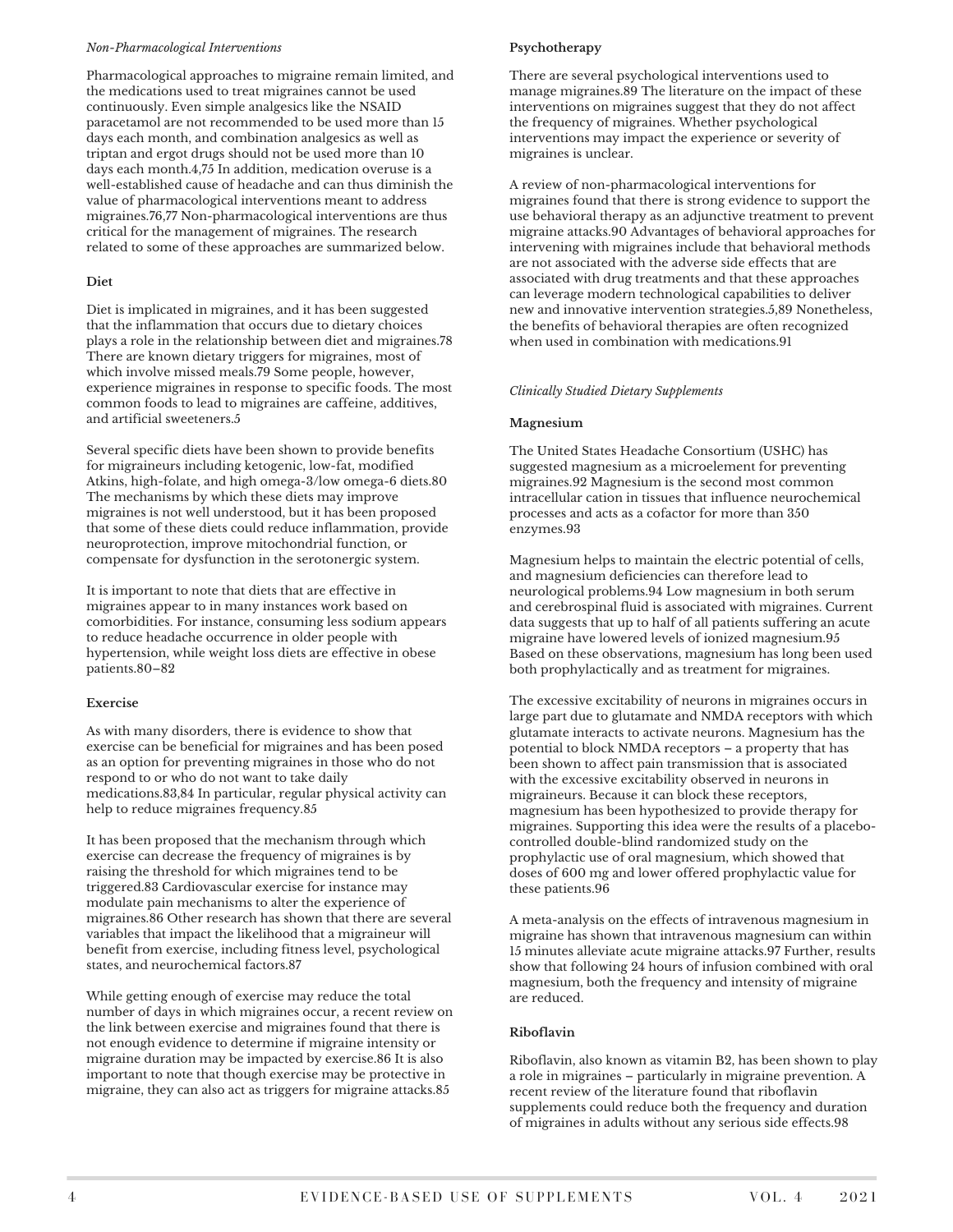#### *Non-Pharmacological Interventions*

Pharmacological approaches to migraine remain limited, and the medications used to treat migraines cannot be used continuously. Even simple analgesics like the NSAID paracetamol are not recommended to be used more than 15 days each month, and combination analgesics as well as triptan and ergot drugs should not be used more than 10 days each month.4,75 In addition, medication overuse is a well-established cause of headache and can thus diminish the value of pharmacological interventions meant to address migraines.76,77 Non-pharmacological interventions are thus critical for the management of migraines. The research related to some of these approaches are summarized below.

#### **Diet**

Diet is implicated in migraines, and it has been suggested that the inflammation that occurs due to dietary choices plays a role in the relationship between diet and migraines.78 There are known dietary triggers for migraines, most of which involve missed meals.79 Some people, however, experience migraines in response to specific foods. The most common foods to lead to migraines are caffeine, additives, and artificial sweeteners.5

Several specific diets have been shown to provide benefits for migraineurs including ketogenic, low-fat, modified Atkins, high-folate, and high omega-3/low omega-6 diets.80 The mechanisms by which these diets may improve migraines is not well understood, but it has been proposed that some of these diets could reduce inflammation, provide neuroprotection, improve mitochondrial function, or compensate for dysfunction in the serotonergic system.

It is important to note that diets that are effective in migraines appear to in many instances work based on comorbidities. For instance, consuming less sodium appears to reduce headache occurrence in older people with hypertension, while weight loss diets are effective in obese patients.80–82

#### **Exercise**

As with many disorders, there is evidence to show that exercise can be beneficial for migraines and has been posed as an option for preventing migraines in those who do not respond to or who do not want to take daily medications.83,84 In particular, regular physical activity can help to reduce migraines frequency.85

It has been proposed that the mechanism through which exercise can decrease the frequency of migraines is by raising the threshold for which migraines tend to be triggered.83 Cardiovascular exercise for instance may modulate pain mechanisms to alter the experience of migraines.86 Other research has shown that there are several variables that impact the likelihood that a migraineur will benefit from exercise, including fitness level, psychological states, and neurochemical factors.87

While getting enough of exercise may reduce the total number of days in which migraines occur, a recent review on the link between exercise and migraines found that there is not enough evidence to determine if migraine intensity or migraine duration may be impacted by exercise.86 It is also important to note that though exercise may be protective in migraine, they can also act as triggers for migraine attacks.85

### **Psychotherapy**

There are several psychological interventions used to manage migraines.89 The literature on the impact of these interventions on migraines suggest that they do not affect the frequency of migraines. Whether psychological interventions may impact the experience or severity of migraines is unclear.

A review of non-pharmacological interventions for migraines found that there is strong evidence to support the use behavioral therapy as an adjunctive treatment to prevent migraine attacks.90 Advantages of behavioral approaches for intervening with migraines include that behavioral methods are not associated with the adverse side effects that are associated with drug treatments and that these approaches can leverage modern technological capabilities to deliver new and innovative intervention strategies.5,89 Nonetheless, the benefits of behavioral therapies are often recognized when used in combination with medications.91

#### *Clinically Studied Dietary Supplements*

#### **Magnesium**

The United States Headache Consortium (USHC) has suggested magnesium as a microelement for preventing migraines.92 Magnesium is the second most common intracellular cation in tissues that influence neurochemical processes and acts as a cofactor for more than 350 enzymes.93

Magnesium helps to maintain the electric potential of cells, and magnesium deficiencies can therefore lead to neurological problems.94 Low magnesium in both serum and cerebrospinal fluid is associated with migraines. Current data suggests that up to half of all patients suffering an acute migraine have lowered levels of ionized magnesium.95 Based on these observations, magnesium has long been used both prophylactically and as treatment for migraines.

The excessive excitability of neurons in migraines occurs in large part due to glutamate and NMDA receptors with which glutamate interacts to activate neurons. Magnesium has the potential to block NMDA receptors – a property that has been shown to affect pain transmission that is associated with the excessive excitability observed in neurons in migraineurs. Because it can block these receptors, magnesium has been hypothesized to provide therapy for migraines. Supporting this idea were the results of a placebocontrolled double-blind randomized study on the prophylactic use of oral magnesium, which showed that doses of 600 mg and lower offered prophylactic value for these patients.96

A meta-analysis on the effects of intravenous magnesium in migraine has shown that intravenous magnesium can within 15 minutes alleviate acute migraine attacks.97 Further, results show that following 24 hours of infusion combined with oral magnesium, both the frequency and intensity of migraine are reduced.

#### **Riboflavin**

Riboflavin, also known as vitamin B2, has been shown to play a role in migraines – particularly in migraine prevention. A recent review of the literature found that riboflavin supplements could reduce both the frequency and duration of migraines in adults without any serious side effects.98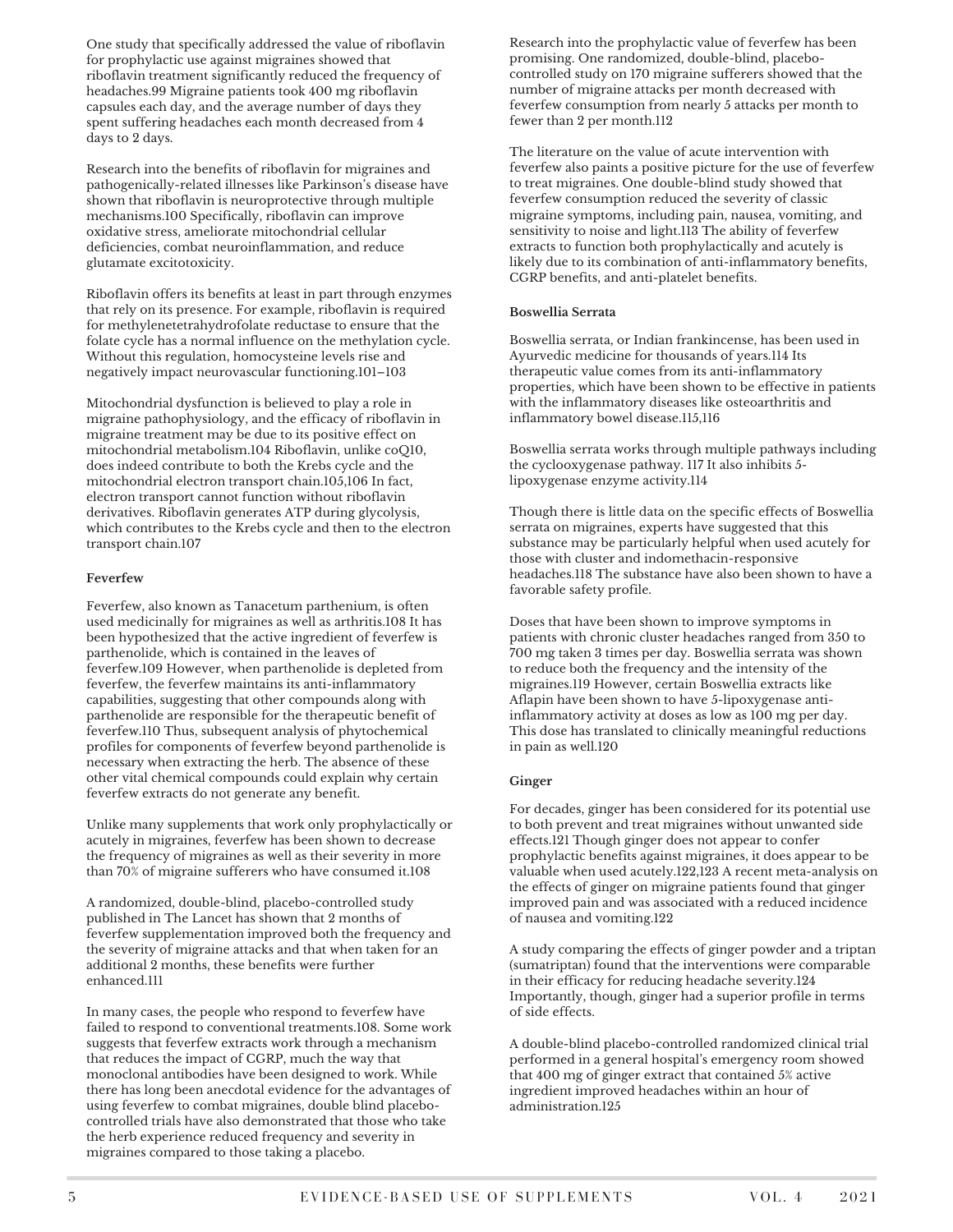One study that specifically addressed the value of riboflavin for prophylactic use against migraines showed that riboflavin treatment significantly reduced the frequency of headaches.99 Migraine patients took 400 mg riboflavin capsules each day, and the average number of days they spent suffering headaches each month decreased from 4 days to 2 days.

Research into the benefits of riboflavin for migraines and pathogenically-related illnesses like Parkinson's disease have shown that riboflavin is neuroprotective through multiple mechanisms.100 Specifically, riboflavin can improve oxidative stress, ameliorate mitochondrial cellular deficiencies, combat neuroinflammation, and reduce glutamate excitotoxicity.

Riboflavin offers its benefits at least in part through enzymes that rely on its presence. For example, riboflavin is required for methylenetetrahydrofolate reductase to ensure that the folate cycle has a normal influence on the methylation cycle. Without this regulation, homocysteine levels rise and negatively impact neurovascular functioning.101–103

Mitochondrial dysfunction is believed to play a role in migraine pathophysiology, and the efficacy of riboflavin in migraine treatment may be due to its positive effect on mitochondrial metabolism.104 Riboflavin, unlike coQ10, does indeed contribute to both the Krebs cycle and the mitochondrial electron transport chain.105,106 In fact, electron transport cannot function without riboflavin derivatives. Riboflavin generates ATP during glycolysis, which contributes to the Krebs cycle and then to the electron transport chain.107

#### **Feverfew**

Feverfew, also known as Tanacetum parthenium, is often used medicinally for migraines as well as arthritis.108 It has been hypothesized that the active ingredient of feverfew is parthenolide, which is contained in the leaves of feverfew.109 However, when parthenolide is depleted from feverfew, the feverfew maintains its anti-inflammatory capabilities, suggesting that other compounds along with parthenolide are responsible for the therapeutic benefit of feverfew.110 Thus, subsequent analysis of phytochemical profiles for components of feverfew beyond parthenolide is necessary when extracting the herb. The absence of these other vital chemical compounds could explain why certain feverfew extracts do not generate any benefit.

Unlike many supplements that work only prophylactically or acutely in migraines, feverfew has been shown to decrease the frequency of migraines as well as their severity in more than 70% of migraine sufferers who have consumed it.108

A randomized, double-blind, placebo-controlled study published in The Lancet has shown that 2 months of feverfew supplementation improved both the frequency and the severity of migraine attacks and that when taken for an additional 2 months, these benefits were further enhanced.111

In many cases, the people who respond to feverfew have failed to respond to conventional treatments.108. Some work suggests that feverfew extracts work through a mechanism that reduces the impact of CGRP, much the way that monoclonal antibodies have been designed to work. While there has long been anecdotal evidence for the advantages of using feverfew to combat migraines, double blind placebocontrolled trials have also demonstrated that those who take the herb experience reduced frequency and severity in migraines compared to those taking a placebo.

Research into the prophylactic value of feverfew has been promising. One randomized, double-blind, placebocontrolled study on 170 migraine sufferers showed that the number of migraine attacks per month decreased with feverfew consumption from nearly 5 attacks per month to fewer than 2 per month.112

The literature on the value of acute intervention with feverfew also paints a positive picture for the use of feverfew to treat migraines. One double-blind study showed that feverfew consumption reduced the severity of classic migraine symptoms, including pain, nausea, vomiting, and sensitivity to noise and light.113 The ability of feverfew extracts to function both prophylactically and acutely is likely due to its combination of anti-inflammatory benefits, CGRP benefits, and anti-platelet benefits.

## **Boswellia Serrata**

Boswellia serrata, or Indian frankincense, has been used in Ayurvedic medicine for thousands of years.114 Its therapeutic value comes from its anti-inflammatory properties, which have been shown to be effective in patients with the inflammatory diseases like osteoarthritis and inflammatory bowel disease.115,116

Boswellia serrata works through multiple pathways including the cyclooxygenase pathway. 117 It also inhibits 5 lipoxygenase enzyme activity.114

Though there is little data on the specific effects of Boswellia serrata on migraines, experts have suggested that this substance may be particularly helpful when used acutely for those with cluster and indomethacin-responsive headaches.118 The substance have also been shown to have a favorable safety profile.

Doses that have been shown to improve symptoms in patients with chronic cluster headaches ranged from 350 to 700 mg taken 3 times per day. Boswellia serrata was shown to reduce both the frequency and the intensity of the migraines.119 However, certain Boswellia extracts like Aflapin have been shown to have 5-lipoxygenase antiinflammatory activity at doses as low as 100 mg per day. This dose has translated to clinically meaningful reductions in pain as well.120

## **Ginger**

For decades, ginger has been considered for its potential use to both prevent and treat migraines without unwanted side effects.121 Though ginger does not appear to confer prophylactic benefits against migraines, it does appear to be valuable when used acutely.122,123 A recent meta-analysis on the effects of ginger on migraine patients found that ginger improved pain and was associated with a reduced incidence of nausea and vomiting.122

A study comparing the effects of ginger powder and a triptan (sumatriptan) found that the interventions were comparable in their efficacy for reducing headache severity.124 Importantly, though, ginger had a superior profile in terms of side effects.

A double-blind placebo-controlled randomized clinical trial performed in a general hospital's emergency room showed that 400 mg of ginger extract that contained 5% active ingredient improved headaches within an hour of administration.125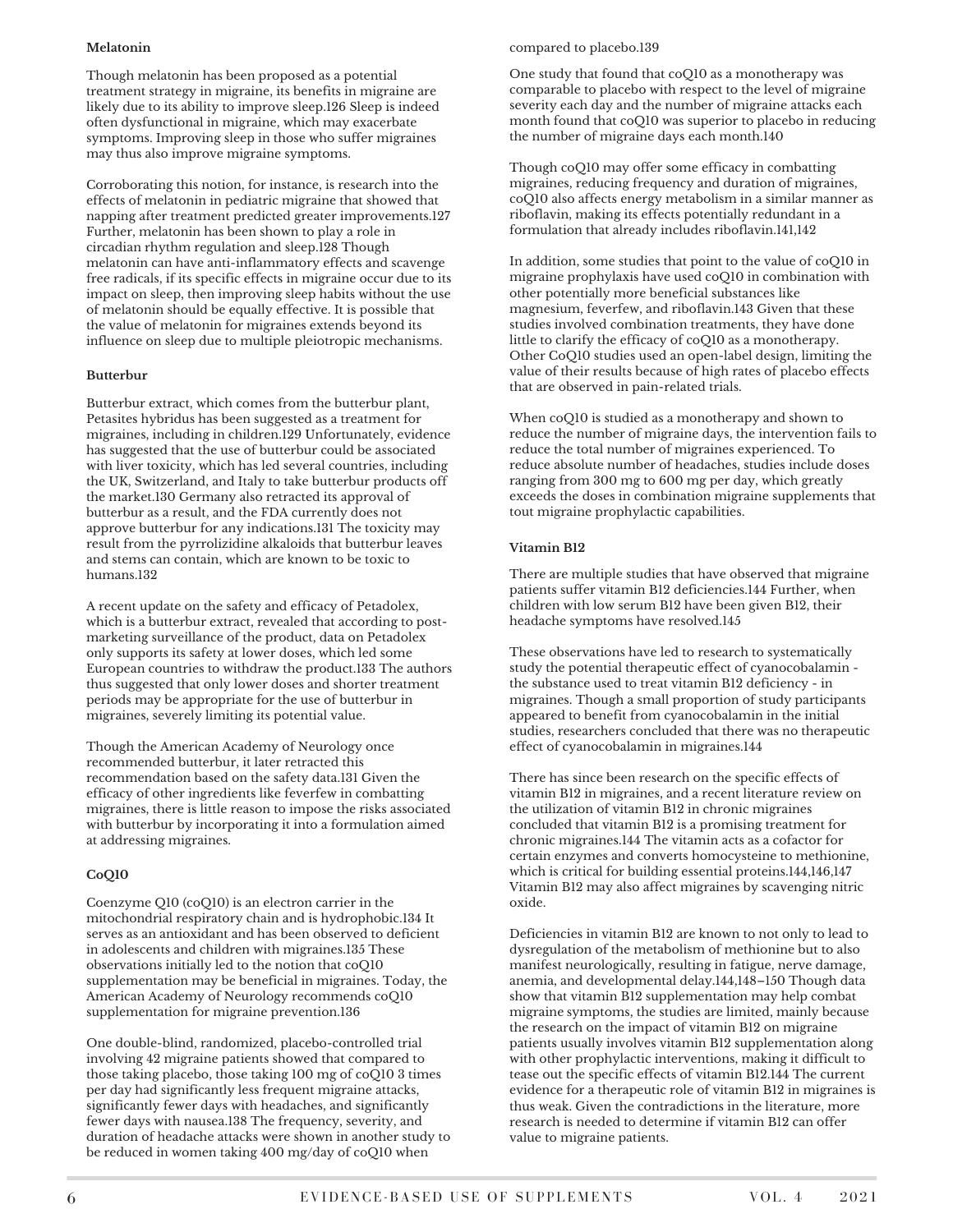#### **Melatonin**

Though melatonin has been proposed as a potential treatment strategy in migraine, its benefits in migraine are likely due to its ability to improve sleep.126 Sleep is indeed often dysfunctional in migraine, which may exacerbate symptoms. Improving sleep in those who suffer migraines may thus also improve migraine symptoms.

Corroborating this notion, for instance, is research into the effects of melatonin in pediatric migraine that showed that napping after treatment predicted greater improvements.127 Further, melatonin has been shown to play a role in circadian rhythm regulation and sleep.128 Though melatonin can have anti-inflammatory effects and scavenge free radicals, if its specific effects in migraine occur due to its impact on sleep, then improving sleep habits without the use of melatonin should be equally effective. It is possible that the value of melatonin for migraines extends beyond its influence on sleep due to multiple pleiotropic mechanisms.

#### **Butterbur**

Butterbur extract, which comes from the butterbur plant, Petasites hybridus has been suggested as a treatment for migraines, including in children.129 Unfortunately, evidence has suggested that the use of butterbur could be associated with liver toxicity, which has led several countries, including the UK, Switzerland, and Italy to take butterbur products off the market.130 Germany also retracted its approval of butterbur as a result, and the FDA currently does not approve butterbur for any indications.131 The toxicity may result from the pyrrolizidine alkaloids that butterbur leaves and stems can contain, which are known to be toxic to humans.132

A recent update on the safety and efficacy of Petadolex, which is a butterbur extract, revealed that according to postmarketing surveillance of the product, data on Petadolex only supports its safety at lower doses, which led some European countries to withdraw the product.133 The authors thus suggested that only lower doses and shorter treatment periods may be appropriate for the use of butterbur in migraines, severely limiting its potential value.

Though the American Academy of Neurology once recommended butterbur, it later retracted this recommendation based on the safety data.131 Given the efficacy of other ingredients like feverfew in combatting migraines, there is little reason to impose the risks associated with butterbur by incorporating it into a formulation aimed at addressing migraines.

#### **CoQ10**

Coenzyme Q10 (coQ10) is an electron carrier in the mitochondrial respiratory chain and is hydrophobic.134 It serves as an antioxidant and has been observed to deficient in adolescents and children with migraines.135 These observations initially led to the notion that coQ10 supplementation may be beneficial in migraines. Today, the American Academy of Neurology recommends coQ10 supplementation for migraine prevention.136

One double-blind, randomized, placebo-controlled trial involving 42 migraine patients showed that compared to those taking placebo, those taking 100 mg of coQ10 3 times per day had significantly less frequent migraine attacks, significantly fewer days with headaches, and significantly fewer days with nausea.138 The frequency, severity, and duration of headache attacks were shown in another study to be reduced in women taking 400 mg/day of coQ10 when

#### compared to placebo.139

One study that found that coQ10 as a monotherapy was comparable to placebo with respect to the level of migraine severity each day and the number of migraine attacks each month found that coQ10 was superior to placebo in reducing the number of migraine days each month.140

Though coQ10 may offer some efficacy in combatting migraines, reducing frequency and duration of migraines, coQ10 also affects energy metabolism in a similar manner as riboflavin, making its effects potentially redundant in a formulation that already includes riboflavin.141,142

In addition, some studies that point to the value of coQ10 in migraine prophylaxis have used coQ10 in combination with other potentially more beneficial substances like magnesium, feverfew, and riboflavin.143 Given that these studies involved combination treatments, they have done little to clarify the efficacy of coQ10 as a monotherapy. Other CoQ10 studies used an open-label design, limiting the value of their results because of high rates of placebo effects that are observed in pain-related trials.

When coQ10 is studied as a monotherapy and shown to reduce the number of migraine days, the intervention fails to reduce the total number of migraines experienced. To reduce absolute number of headaches, studies include doses ranging from 300 mg to 600 mg per day, which greatly exceeds the doses in combination migraine supplements that tout migraine prophylactic capabilities.

#### **Vitamin B12**

There are multiple studies that have observed that migraine patients suffer vitamin B12 deficiencies.144 Further, when children with low serum B12 have been given B12, their headache symptoms have resolved.145

These observations have led to research to systematically study the potential therapeutic effect of cyanocobalamin the substance used to treat vitamin B12 deficiency - in migraines. Though a small proportion of study participants appeared to benefit from cyanocobalamin in the initial studies, researchers concluded that there was no therapeutic effect of cyanocobalamin in migraines.144

There has since been research on the specific effects of vitamin B12 in migraines, and a recent literature review on the utilization of vitamin B12 in chronic migraines concluded that vitamin B12 is a promising treatment for chronic migraines.144 The vitamin acts as a cofactor for certain enzymes and converts homocysteine to methionine, which is critical for building essential proteins.144,146,147 Vitamin B12 may also affect migraines by scavenging nitric oxide.

Deficiencies in vitamin B12 are known to not only to lead to dysregulation of the metabolism of methionine but to also manifest neurologically, resulting in fatigue, nerve damage, anemia, and developmental delay.144,148–150 Though data show that vitamin B12 supplementation may help combat migraine symptoms, the studies are limited, mainly because the research on the impact of vitamin B12 on migraine patients usually involves vitamin B12 supplementation along with other prophylactic interventions, making it difficult to tease out the specific effects of vitamin B12.144 The current evidence for a therapeutic role of vitamin B12 in migraines is thus weak. Given the contradictions in the literature, more research is needed to determine if vitamin B12 can offer value to migraine patients.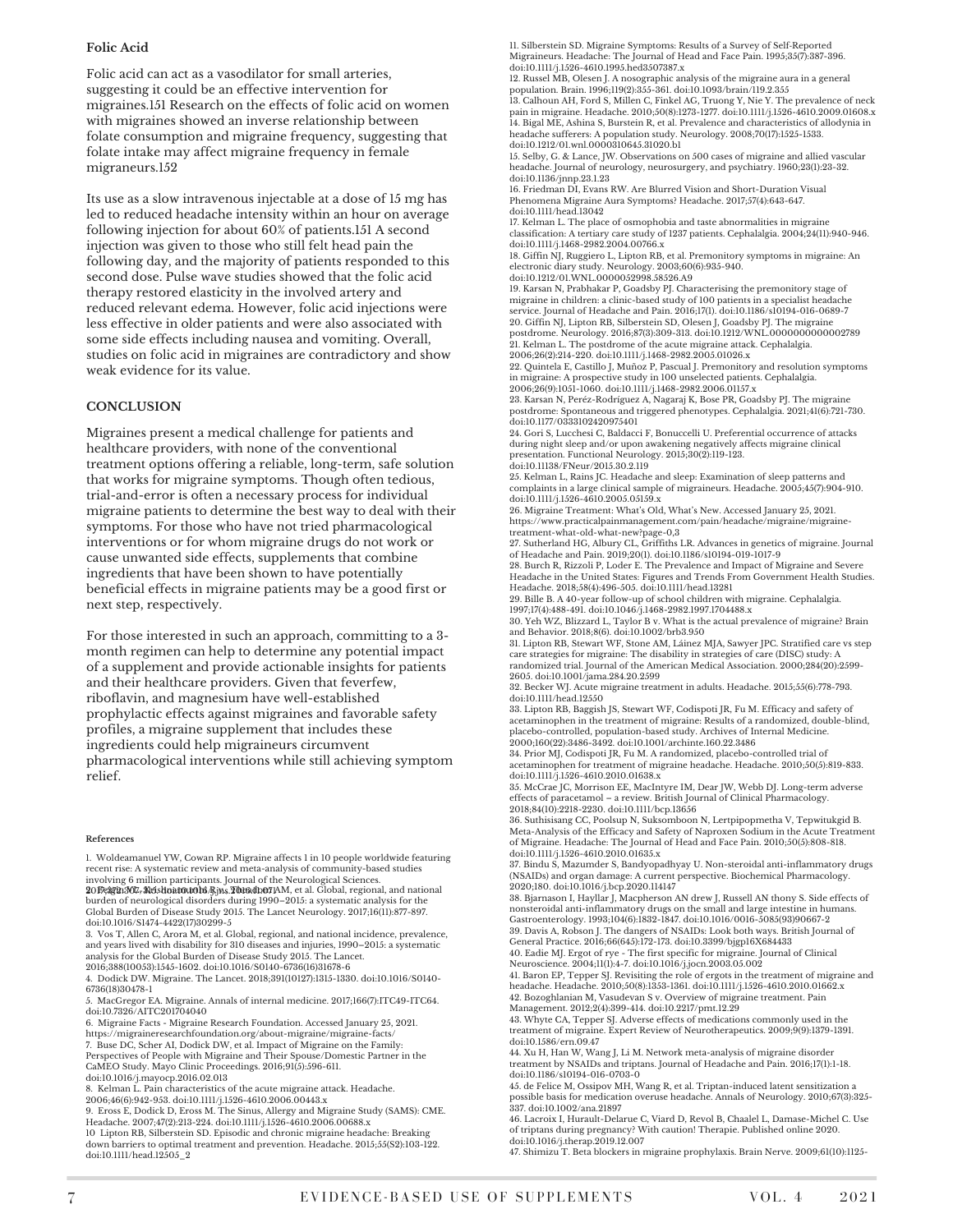#### **Folic Acid**

Folic acid can act as a vasodilator for small arteries, suggesting it could be an effective intervention for migraines.151 Research on the effects of folic acid on women with migraines showed an inverse relationship between folate consumption and migraine frequency, suggesting that folate intake may affect migraine frequency in female migraneurs.152

Its use as a slow intravenous injectable at a dose of 15 mg has led to reduced headache intensity within an hour on average following injection for about 60% of patients.151 A second injection was given to those who still felt head pain the following day, and the majority of patients responded to this second dose. Pulse wave studies showed that the folic acid therapy restored elasticity in the involved artery and reduced relevant edema. However, folic acid injections were less effective in older patients and were also associated with some side effects including nausea and vomiting. Overall, studies on folic acid in migraines are contradictory and show weak evidence for its value.

#### **CONCLUSION**

Migraines present a medical challenge for patients and healthcare providers, with none of the conventional treatment options offering a reliable, long-term, safe solution that works for migraine symptoms. Though often tedious, trial-and-error is often a necessary process for individual migraine patients to determine the best way to deal with their symptoms. For those who have not tried pharmacological interventions or for whom migraine drugs do not work or cause unwanted side effects, supplements that combine ingredients that have been shown to have potentially beneficial effects in migraine patients may be a good first or next step, respectively.

For those interested in such an approach, committing to a 3 month regimen can help to determine any potential impact of a supplement and provide actionable insights for patients and their healthcare providers. Given that feverfew, riboflavin, and magnesium have well-established prophylactic effects against migraines and favorable safety profiles, a migraine supplement that includes these ingredients could help migraineurs circumvent pharmacological interventions while still achieving symptom relief.

#### **References**

1. Woldeamanuel YW, Cowan RP. Migraine affects 1 in 10 people worldwide featuring recent rise: A systematic review and meta-analysis of community-based studies

involving 6 million participants. Journal of the Neurological Sciences.<br>**2**0Fr**3323: 307-313:31:01:0116/3** Ms. Den MD, AM, et al. Global, regional, and national burden of neurological disorders during 1990–2015: a systematic analysis for the Global Burden of Disease Study 2015. The Lancet Neurology. 2017;16(11):877-897. doi:10.1016/S1474-4422(17)30299-5

3. Vos T, Allen C, Arora M, et al. Global, regional, and national incidence, prevalence, and years lived with disability for 310 diseases and injuries, 1990–2015: a systematic analysis for the Global Burden of Disease Study 2015. The Lancet. 2016;388(10053):1545-1602. doi:10.1016/S0140-6736(16)31678-6

4. Dodick DW. Migraine. The Lancet. 2018;391(10127):1315-1330. doi:10.1016/S0140- 6736(18)30478-1

5. MacGregor EA. Migraine. Annals of internal medicine. 2017;166(7):ITC49-ITC64. doi:10.7326/AITC201704040

6. Migraine Facts - Migraine Research Foundation. Accessed January 25, 2021. https://migraineresearchfoundation.org/about-migraine/migraine-facts/ 7. Buse DC, Scher AI, Dodick DW, et al. Impact of Migraine on the Family:

Perspectives of People with Migraine and Their Spouse/Domestic Partner in the CaMEO Study. Mayo Clinic Proceedings. 2016;91(5):596-611.

doi:10.1016/j.mayocp.2016.02.013 8. Kelman L. Pain characteristics of the acute migraine attack. Headache.

2006;46(6):942-953. doi:10.1111/j.1526-4610.2006.00443.x

9. Eross E, Dodick D, Eross M. The Sinus, Allergy and Migraine Study (SAMS): CME. Headache. 2007;47(2):213-224. doi:10.1111/j.1526-4610.2006.00688.x

10 Lipton RB, Silberstein SD. Episodic and chronic migraine headache: Breaking down barriers to optimal treatment and prevention. Headache. 2015;55(S2):103-122. doi:10.1111/head.12505\_2

11. Silberstein SD. Migraine Symptoms: Results of a Survey of Self‐Reported Migraineurs. Headache: The Journal of Head and Face Pain. 1995;35(7):387-396. doi:10.1111/j.1526-4610.1995.hed3507387.x

12. Russel MB, Olesen J. A nosographic analysis of the migraine aura in a general population. Brain. 1996;119(2):355-361. doi:10.1093/brain/119.2.355

13. Calhoun AH, Ford S, Millen C, Finkel AG, Truong Y, Nie Y. The prevalence of neck pain in migraine. Headache. 2010;50(8):1273-1277. doi:10.1111/j.1526-4610.2009.01608.x 14. Bigal ME, Ashina S, Burstein R, et al. Prevalence and characteristics of allodynia in headache sufferers: A population study. Neurology. 2008;70(17):1525-1533. doi:10.1212/01.wnl.0000310645.31020.b1

15. Selby, G. & Lance, JW. Observations on 500 cases of migraine and allied vascular headache. Journal of neurology, neurosurgery, and psychiatry. 1960;23(1):23-32. doi:10.1136/jnnp.23.1.23

16. Friedman DI, Evans RW. Are Blurred Vision and Short-Duration Visual Phenomena Migraine Aura Symptoms? Headache. 2017;57(4):643-647. doi:10.1111/head.13042

17. Kelman L. The place of osmophobia and taste abnormalities in migraine classification: A tertiary care study of 1237 patients. Cephalalgia. 2004;24(11):940-946. doi:10.1111/j.1468-2982.2004.00766.x

18. Giffin NJ, Ruggiero L, Lipton RB, et al. Premonitory symptoms in migraine: An electronic diary study. Neurology. 2003;60(6):935-940. doi:10.1212/01.WNL.0000052998.58526.A9

19. Karsan N, Prabhakar P, Goadsby PJ. Characterising the premonitory stage of migraine in children: a clinic-based study of 100 patients in a specialist headache service. Journal of Headache and Pain. 2016;17(1). doi:10.1186/s10194-016-0689-7 20. Giffin NJ, Lipton RB, Silberstein SD, Olesen J, Goadsby PJ. The migraine postdrome. Neurology. 2016;87(3):309-313. doi:10.1212/WNL.0000000000002789 21. Kelman L. The postdrome of the acute migraine attack. Cephalalgia.

2006;26(2):214-220. doi:10.1111/j.1468-2982.2005.01026.x 22. Quintela E, Castillo J, Muñoz P, Pascual J. Premonitory and resolution symptoms in migraine: A prospective study in 100 unselected patients. Cephalalgia. 2006;26(9):1051-1060. doi:10.1111/j.1468-2982.2006.01157.x

23. Karsan N, Peréz-Rodríguez A, Nagaraj K, Bose PR, Goadsby PJ. The migraine postdrome: Spontaneous and triggered phenotypes. Cephalalgia. 2021;41(6):721-730. doi:10.1177/0333102420975401

24. Gori S, Lucchesi C, Baldacci F, Bonuccelli U. Preferential occurrence of attacks during night sleep and/or upon awakening negatively affects migraine clinical presentation. Functional Neurology. 2015;30(2):119-123. doi:10.11138/FNeur/2015.30.2.119

25. Kelman L, Rains JC. Headache and sleep: Examination of sleep patterns and complaints in a large clinical sample of migraineurs. Headache. 2005;45(7):904-910. doi:10.1111/j.1526-4610.2005.05159.x

26. Migraine Treatment: What's Old, What's New. Accessed January 25, 2021. https://www.practicalpainmanagement.com/pain/headache/migraine/migraine-

treatment-what-old-what-new?page-0,3 27. Sutherland HG, Albury CL, Griffiths LR. Advances in genetics of migraine. Journal of Headache and Pain. 2019;20(1). doi:10.1186/s10194-019-1017-9

28. Burch R, Rizzoli P, Loder E. The Prevalence and Impact of Migraine and Severe Headache in the United States: Figures and Trends From Government Health Studies. Headache. 2018;58(4):496-505. doi:10.1111/head.13281

29. Bille B. A 40-year follow-up of school children with migraine. Cephalalgia. 1997;17(4):488-491. doi:10.1046/j.1468-2982.1997.1704488.x

30. Yeh WZ, Blizzard L, Taylor B v. What is the actual prevalence of migraine? Brain and Behavior. 2018;8(6). doi:10.1002/brb3.950

31. Lipton RB, Stewart WF, Stone AM, Láinez MJA, Sawyer JPC. Stratified care vs step care strategies for migraine: The disability in strategies of care (DISC) study: A randomized trial. Journal of the American Medical Association. 2000;284(20):2599- 2605. doi:10.1001/jama.284.20.2599

32. Becker WJ. Acute migraine treatment in adults. Headache. 2015;55(6):778-793. doi:10.1111/head.12550

33. Lipton RB, Baggish JS, Stewart WF, Codispoti JR, Fu M. Efficacy and safety of acetaminophen in the treatment of migraine: Results of a randomized, double-blind, placebo-controlled, population-based study. Archives of Internal Medicine. 2000;160(22):3486-3492. doi:10.1001/archinte.160.22.3486

34. Prior MJ, Codispoti JR, Fu M. A randomized, placebo-controlled trial of acetaminophen for treatment of migraine headache. Headache. 2010;50(5):819-833. doi:10.1111/j.1526-4610.2010.01638.x

35. McCrae JC, Morrison EE, MacIntyre IM, Dear JW, Webb DJ. Long-term adverse effects of paracetamol – a review. British Journal of Clinical Pharmacology. 2018;84(10):2218-2230. doi:10.1111/bcp.13656

36. Suthisisang CC, Poolsup N, Suksomboon N, Lertpipopmetha V, Tepwitukgid B. Meta-Analysis of the Efficacy and Safety of Naproxen Sodium in the Acute Treatment of Migraine. Headache: The Journal of Head and Face Pain. 2010;50(5):808-818. doi:10.1111/j.1526-4610.2010.01635.x

37. Bindu S, Mazumder S, Bandyopadhyay U. Non-steroidal anti-inflammatory drugs (NSAIDs) and organ damage: A current perspective. Biochemical Pharmacology. 2020;180. doi:10.1016/j.bcp.2020.114147

38. Bjarnason I, Hayllar J, Macpherson AN drew J, Russell AN thony S. Side effects of nonsteroidal anti-inflammatory drugs on the small and large intestine in humans. Gastroenterology. 1993;104(6):1832-1847. doi:10.1016/0016-5085(93)90667-2

39. Davis A, Robson J. The dangers of NSAIDs: Look both ways. British Journal of<br>General Practice. 2016;66(645):172-173. doi:10.3399/bjgpl6X684433<br>40. Eadie MJ. Ergot of rye - The first specific for migraine. Journal of Cl

42. Bozoghlanian M, Vasudevan S v. Overview of migraine treatment. Pain

Management. 2012;2(4):399-414. doi:10.2217/pmt.12.29 43. Whyte CA, Tepper SJ. Adverse effects of medications commonly used in the treatment of migraine. Expert Review of Neurotherapeutics. 2009;9(9):1379-1391. doi:10.1586/ern.09.47

44. Xu H, Han W, Wang J, Li M. Network meta-analysis of migraine disorder treatment by NSAIDs and triptans. Journal of Headache and Pain. 2016;17(1):1-18.

doi:10.1186/s10194-016-0703-0 45. de Felice M, Ossipov MH, Wang R, et al. Triptan-induced latent sensitization a possible basis for medication overuse headache. Annals of Neurology. 2010;67(3):325- 337. doi:10.1002/ana.21897

46. Lacroix I, Hurault-Delarue C, Viard D, Revol B, Chaalel L, Damase-Michel C. Use of triptans during pregnancy? With caution! Therapie. Published online 2020. doi:10.1016/j.therap.2019.12.007

47. Shimizu T. Beta blockers in migraine prophylaxis. Brain Nerve. 2009;61(10):1125-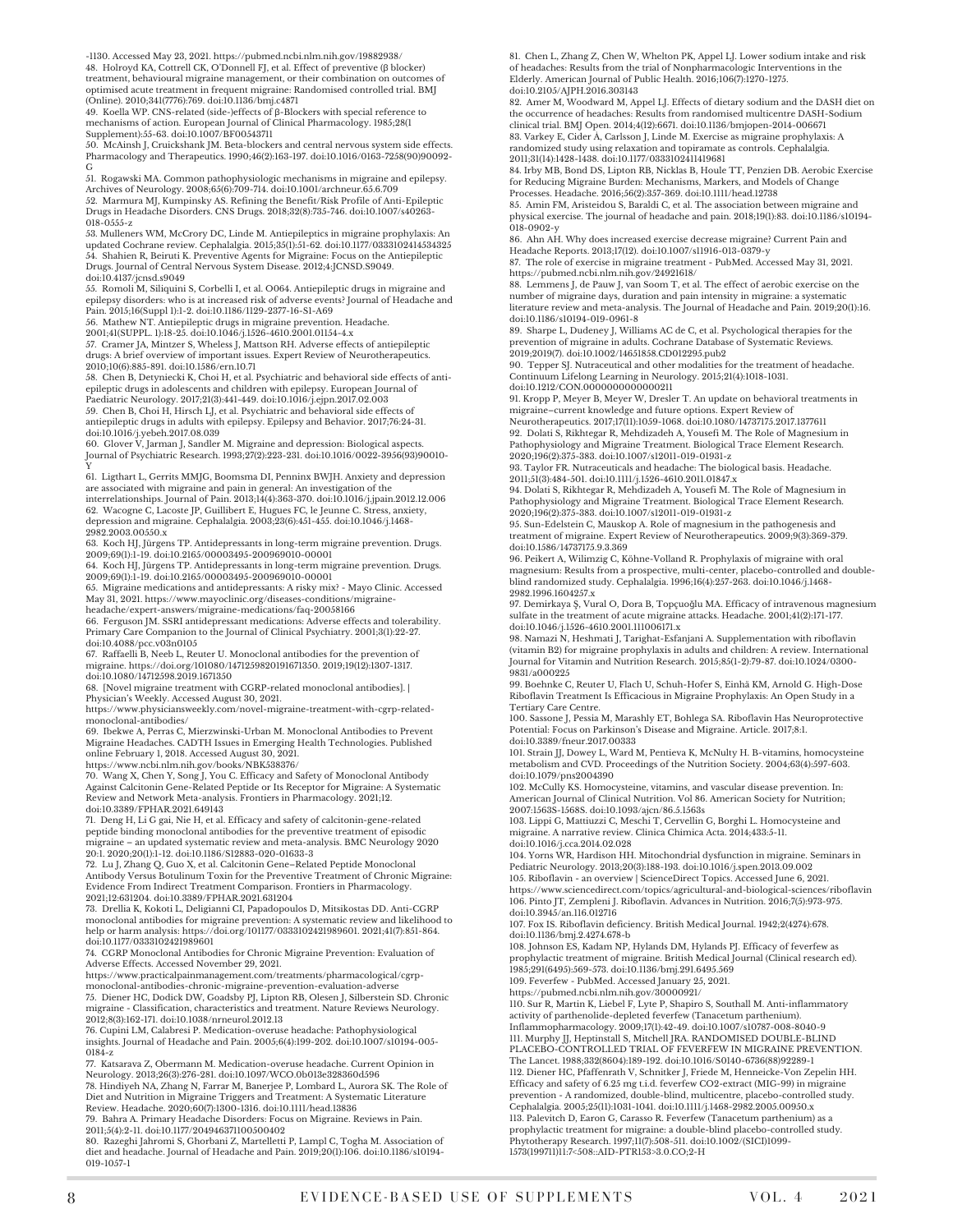-1130. Accessed May 23, 2021. https://pubmed.ncbi.nlm.nih.gov/19882938/

48. Holroyd KA, Cottrell CK, O'Donnell FJ, et al. Effect of preventive (β blocker) treatment, behavioural migraine management, or their combination on outcomes of optimised acute treatment in frequent migraine: Randomised controlled trial. BMJ (Online). 2010;341(7776):769. doi:10.1136/bmj.c4871 49. Koella WP. CNS-related (side-)effects of β-Blockers with special reference to

mechanisms of action. European Journal of Clinical Pharmacology. 1985;28(1)

Supplement):55-63. doi:10.1007/BF00543711 50. McAinsh J, Cruickshank JM. Beta-blockers and central nervous system side effects. Pharmacology and Therapeutics. 1990;46(2):163-197. doi:10.1016/0163-7258(90)90092-

G 51. Rogawski MA. Common pathophysiologic mechanisms in migraine and epilepsy. Archives of Neurology. 2008;65(6):709-714. doi:10.1001/archneur.65.6.709

52. Marmura MJ, Kumpinsky AS. Refining the Benefit/Risk Profile of Anti-Epileptic<br>Drugs in Headache Disorders. CNS Drugs. 2018;32(8):735-746. doi:10.1007/s40263-018-0555-z

53. Mulleners WM, McCrory DC, Linde M. Antiepileptics in migraine prophylaxis: An<br>updated Cochrane review. Cephalalgia. 2015;35(1):51-62. doi:10.1177/0333102414584325<br>54. Shahien R, Beiruti K. Preventive Agents for Migrai Drugs. Journal of Central Nervous System Disease. 2012;4:JCNSD.S9049. doi:10.4137/jcnsd.s9049

55. Romoli M, Siliquini S, Corbelli I, et al. O064. Antiepileptic drugs in migraine and epilepsy disorders: who is at increased risk of adverse events? Journal of Headache and Pain. 2015;16(Suppl 1):1-2. doi:10.1186/1129-2377-16-S1-A69

56. Mathew NT. Antiepileptic drugs in migraine prevention. Headache. 2001;41(SUPPL. 1):18-25. doi:10.1046/j.1526-4610.2001.01154-4.x

57. Cramer JA, Mintzer S, Wheless J, Mattson RH. Adverse effects of antiepileptic drugs: A brief overview of important issues. Expert Review of Neurotherapeutics. 2010;10(6):885-891. doi:10.1586/ern.10.71

58. Chen B, Detyniecki K, Choi H, et al. Psychiatric and behavioral side effects of antiepileptic drugs in adolescents and children with epilepsy. European Journal of<br>Paediatric Neurology. 2017;21(3):441-449. doi:10.1016/j.ejpn.2017.02.003<br>59. Chen B, Choi H, Hirsch LJ, et al. Psychiatric and behavioral side

antiepileptic drugs in adults with epilepsy. Epilepsy and Behavior. 2017;76:24-31. doi:10.1016/j.yebeh.2017.08.039

60. Glover V, Jarman J, Sandler M. Migraine and depression: Biological aspects. Journal of Psychiatric Research. 1993;27(2):223-231. doi:10.1016/0022-3956(93)90010-

61. Ligthart L, Gerrits MMJG, Boomsma DI, Penninx BWJH. Anxiety and depression 61. Ligthart L, Gerrits MMJG, Boomsma DI, Penninx BWJH. Anxiety and depression<br>are associated with migraine and pain in general: An investigation of the<br>interrelationships. Journal of Pain. 2013;14(4):363-370. doi:10.1016/

2982.2003.00550.x

63. Koch HJ, Jürgens TP. Antidepressants in long-term migraine prevention. Drugs. 2009;69(1):1-19. doi:10.2165/00003495-200969010-00001

64. Koch HJ, Jürgens TP. Antidepressants in long-term migraine prevention. Drugs.<br>2009;69(i):1-19. doi:10.2165/00003495-200969010-00001<br>65. Migraine medications and antidepressants: A risky mix? - Mayo Clinic. Accessed

May 31, 2021. https://www.mayoclinic.org/diseases-conditions/migraine-

headache/expert-answers/migraine-medications/faq-20058166 66. Ferguson JM. SSRI antidepressant medications: Adverse effects and tolerability. Primary Care Companion to the Journal of Clinical Psychiatry. 2001;3(1):22-27.

doi:10.4088/pcc.v03n0105 67. Raffaelli B, Neeb L, Reuter U. Monoclonal antibodies for the prevention of migraine. https://doi.org/101080/1471259820191671350. 2019;19(12):1307-1317. doi:10.1080/14712598.2019.1671350

68. [Novel migraine treatment with CGRP-related monoclonal antibodies]. | Physician's Weekly. Accessed August 30, 2021.

https://www.physiciansweekly.com/novel-migraine-treatment-with-cgrp-related monoclonal-antibodies/

69. Ibekwe A, Perras C, Mierzwinski-Urban M. Monoclonal Antibodies to Prevent Migraine Headaches. CADTH Issues in Emerging Health Technologies. Published online February 1, 2018. Accessed August 30, 2021. https://www.ncbi.nlm.nih.gov/books/NBK538376/

70. Wang X, Chen Y, Song J, You C. Efficacy and Safety of Monoclonal Antibody Against Calcitonin Gene-Related Peptide or Its Receptor for Migraine: A Systematic Review and Network Meta-analysis. Frontiers in Pharmacology. 2021;12. doi:10.3389/FPHAR.2021.649143

71. Deng H, Li G gai, Nie H, et al. Efficacy and safety of calcitonin-gene-related peptide binding monoclonal antibodies for the preventive treatment of episodic<br>migraine – an updated systematic review and meta-analysis. BMC Neurology 2020 20:1. 2020;20(1):1-12. doi:10.1186/S12883-020-01633-3

72. Lu J, Zhang Q, Guo X, et al. Calcitonin Gene–Related Peptide Monoclonal Antibody Versus Botulinum Toxin for the Preventive Treatment of Chronic Migraine: Evidence From Indirect Treatment Comparison. Frontiers in Pharmacology.

2021;12:631204. doi:10.3389/FPHAR.2021.631204<br>73. Drellia K, Kokoti L, Deligianni CI, Papadopoulos D, Mitsikostas DD. Anti-CGRP<br>monoclonal antibodies for migraine prevention: A systematic review and likelihood to help or harm analysis: https://doi.org/101177/0333102421989601. 2021;41(7):851-864. doi:10.1177/0333102421989601

74. CGRP Monoclonal Antibodies for Chronic Migraine Prevention: Evaluation of Adverse Effects. Accessed November 29, 2021.

https://www.practicalpainmanagement.com/treatments/pharmacological/cgrp- monoclonal-antibodies-chronic-migraine-prevention-evaluation-adverse 75. Diener HC, Dodick DW, Goadsby PJ, Lipton RB, Olesen J, Silberstein SD. Chronic<br>migraine - Classification, characteristics and treatment. Nature Reviews Neurology.<br>2012;8(3):162-171. doi:10.1038/nrneurol.2012.13

76. Cupini LM, Calabresi P. Medication-overuse headache: Pathophysiological insights. Journal of Headache and Pain. 2005;6(4):199-202. doi:10.1007/s10194-005- 0184-z

77. Katsarava Z, Obermann M. Medication-overuse headache. Current Opinion in Neurology. 2013;26(3):276-281. doi:10.1097/WCO.0b013e328360d596 78. Hindiyeh NA, Zhang N, Farrar M, Banerjee P, Lombard L, Aurora SK. The Role of

Diet and Nutrition in Migraine Triggers and Treatment: A Systematic Literature<br>Review. Headache. 2020;60(7):1300-1316. doi:10.1111/head.13836<br>79. Bahra A. Primary Headache Disorders: Focus on Migraine. Reviews in Pain.<br>201

80. Razeghi Jahromi S, Ghorbani Z, Martelletti P, Lampl C, Togha M. Association of diet and headache. Journal of Headache and Pain. 2019;20(1):106. doi:10.1186/s10194- 019-1057-1

81. Chen L, Zhang Z, Chen W, Whelton PK, Appel LJ. Lower sodium intake and risk of headaches: Results from the trial of Nonpharmacologic Interventions in the Elderly. American Journal of Public Health. 2016;106(7):1270-1275. doi:10.2105/AJPH.2016.303143

82. Amer M, Woodward M, Appel LJ. Effects of dietary sodium and the DASH diet on the occurrence of headaches: Results from randomised multicentre DASH-Sodium clinical trial. BMJ Open. 2014;4(12):6671. doi:10.1136/bmjopen-2014-006671 83. Varkey E, Cider Å, Carlsson J, Linde M. Exercise as migraine prophylaxis: A randomized study using relaxation and topiramate as controls. Cephalalgia.

2011;31(14):1428-1438. doi:10.117//0333102411419681<br>84. Irby MB, Bond DS, Lipton RB, Nicklas B, Houle TT, Penzien DB. Aerobic Exercise<br>for Reducing Migraine Burden: Mechanisms, Markers, and Models of Change Processes. Headache. 2016;56(2):357-369. doi:10.1111/head.12738

85. Amin FM, Aristeidou S, Baraldi C, et al. The association between migraine and physical exercise. The journal of headache and pain. 2018;19(1):83. doi:10.1186/s10194- 018-0902-y

86. Ahn AH. Why does increased exercise decrease migraine? Current Pain and Headache Reports. 2013;17(12). doi:10.1007/s11916-013-0379-y

87. The role of exercise in migraine treatment - PubMed. Accessed May 31, 2021.

https://pubmed.ncbi.nlm.nih.gov/24921618/ 88. Lemmens J, de Pauw J, van Soom T, et al. The effect of aerobic exercise on the number of migraine days, duration and pain intensity in migraine: a systematic literature review and meta-analysis. The Journal of Headache and Pain. 2019;20(1):16. doi:10.1186/s10194-019-0961-8

89. Sharpe L, Dudeney J, Williams AC de C, et al. Psychological therapies for the prevention of migraine in adults. Cochrane Database of Systematic Reviews. 2019;2019(7). doi:10.1002/14651858.CD012295.pub2

90. Tepper SJ. Nutraceutical and other modalities for the treatment of headache. Continuum Lifelong Learning in Neurology. 2015;21(4):1018-1031. doi:10.1212/CON.0000000000000211

91. Kropp P, Meyer B, Meyer W, Dresler T. An update on behavioral treatments in migraine–current knowledge and future options. Expert Review of

Neurotherapeutics. 2017;17(11):1059-1068. doi:10.1080/14737175.2017.1377611 92. Dolati S, Rikhtegar R, Mehdizadeh A, Yousefi M. The Role of Magnesium in Pathophysiology and Migraine Treatment. Biological Trace Element Research. 2020;196(2):375-383. doi:10.1007/s12011-019-01931-z

93. Taylor FR. Nutraceuticals and headache: The biological basis. Headache.

2011;51(3):484-501. doi:10.1111/j.1526-4610.2011.01847.x 94. Dolati S, Rikhtegar R, Mehdizadeh A, Yousefi M. The Role of Magnesium in Pathophysiology and Migraine Treatment. Biological Trace Element Research. 2020;196(2):375-383. doi:10.1007/s12011-019-01931-z

95. Sun-Edelstein C, Mauskop A. Role of magnesium in the pathogenesis and treatment of migraine. Expert Review of Neurotherapeutics. 2009;9(3):369-379. doi:10.1586/14737175.9.3.369

96. Peikert A, Wilimzig C, Köhne-Volland R. Prophylaxis of migraine with oral magnesium: Results from a prospective, multi-center, placebo-controlled and doubleblind randomized study. Cephalalgia. 1996;16(4):257-263. doi:10.1046/j.1468- 2982.1996.1604257x

97. Demirkaya Ş, Vural O, Dora B, Topçuoǧlu MA. Efficacy of intravenous magnesium sulfate in the treatment of acute migraine attacks. Headache. 2001;41(2):171-177. doi:10.1046/j.1526-4610.2001.111006171.x

98. Namazi N, Heshmati J, Tarighat-Esfanjani A. Supplementation with riboflavin (vitamin B2) for migraine prophylaxis in adults and children: A review. International Journal for Vitamin and Nutrition Research. 2015;85(1-2):79-87. doi:10.1024/0300- 9831/a000225

99. Boehnke C, Reuter U, Flach U, Schuh-Hofer S, Einhä KM, Arnold G. High-Dose Riboflavin Treatment Is Efficacious in Migraine Prophylaxis: An Open Study in a Tertiary Care Centre.

100. Sassone J, Pessia M, Marashly ET, Bohlega SA. Riboflavin Has Neuroprotective Potential: Focus on Parkinson's Disease and Migraine. Article. 2017;8:1. doi:10.3389/fneur.2017.00333

101. Strain JJ, Dowey L, Ward M, Pentieva K, McNulty H. B-vitamins, homocysteine metabolism and CVD. Proceedings of the Nutrition Society. 2004;63(4):597-603. doi:10.1079/pns2004390

102. McCully KS. Homocysteine, vitamins, and vascular disease prevention. In: American Journal of Clinical Nutrition. Vol 86. American Society for Nutrition; 2007:1563S-1568S. doi:10.1093/ajcn/86.5.1563s

103. Lippi G, Mattiuzzi C, Meschi T, Cervellin G, Borghi L. Homocysteine and migraine. A narrative review. Clinica Chimica Acta. 2014;433:5-11. doi:10.1016/j.cca.2014.02.028

104. Yorns WR, Hardison HH. Mitochondrial dysfunction in migraine. Seminars in Pediatric Neurology. 2013;20(3):188-193. doi:10.1016/j.spen.2013.09.002 105. Riboflavin - an overview | ScienceDirect Topics. Accessed June 6, 2021.

https://www.sciencedirect.com/topics/agricultural-and-biological-sciences/riboflavin 106. Pinto JT, Zempleni J. Riboflavin. Advances in Nutrition. 2016;7(5):973-975. doi:10.3945/an.116.012716

107. Fox IS. Riboflavin deficiency. British Medical Journal. 1942;2(4274):678. doi:10.1136/bmj.2.4274.678-b

108. Johnson ES, Kadam NP, Hylands DM, Hylands PJ. Efficacy of feverfew as prophylactic treatment of migraine. British Medical Journal (Clinical research ed). 1985;291(6495):569-573. doi:10.1136/bmj.291.6495.569

109. Feverfew - PubMed. Accessed January 25, 2021.

https://pubmed.ncbi.nlm.nih.gov/30000921/<br>110. Sur R, Martin K, Liebel F, Lyte P, Shapiro S, Southall M. Anti-inflammatory<br>activity of parthenolide-depleted feverfew (Tanacetum parthenium). Inflammopharmacology. 2009;17(1):42-49. doi:10.1007/s10787-008-8040-9

111. Murphy JJ, Heptinstall S, Mitchell JRA. RANDOMISED DOUBLE-BLIND PLACEBO-CONTROLLED TRIAL OF FEVERFEW IN MIGRAINE PREVENTION. The Lancet. 1988;332(8604):189-192. doi:10.1016/S0140-6736(88)92289-1 112. Diener HC, Pfaffenrath V, Schnitker J, Friede M, Henneicke-Von Zepelin HH. Efficacy and safety of 6.25 mg t.i.d. feverfew CO2-extract (MIG-99) in migraine prevention - A randomized, double-blind, multicentre, placebo-controlled study.<br>Cephalalgia. 2005;25(II):1031-1041. doi:10.1111/j.1468-2982.2005.00950.x<br>113. Palevitch D, Earon G, Carasso R. Feverfew (Tanacetum parthenium) prophylactic treatment for migraine: a double-blind placebo-controlled study. Phytotherapy Research. 1997;11(7):508-511. doi:10.1002/(SICI)1099- 1573(199711)11:7<508::AID-PTR153>3.0.CO;2-H